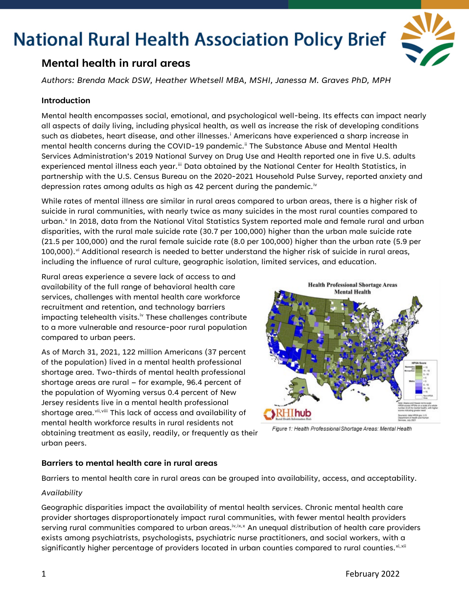

### **Mental health in rural areas**

*Authors: Brenda Mack DSW, Heather Whetsell MBA, MSHI, Janessa M. Graves PhD, MPH*

#### **Introduction**

Mental health encompasses social, emotional, and psychological well-being. Its effects can impact nearly all aspects of daily living, including physical health, as well as increase the risk of developing conditions such as d[i](#page-3-0)abetes, heart disease, and other illnesses.<sup>i</sup> Americans have experienced a sharp increase in mental health concerns during the COVID-19 pandemic.<sup>[ii](#page-3-1)</sup> The Substance Abuse and Mental Health Services Administration's 2019 National Survey on Drug Use and Health reported one in five U.S. adults experienced mental illness each year.<sup>[iii](#page-3-2)</sup> Data obtained by the National Center for Health Statistics, in partnership with the U.S. Census Bureau on the 2020-2021 Household Pulse Survey, reported anxiety and depression rates among adults as high as 42 percent during the pandemic.<sup>[iv](#page-3-3)</sup>

While rates of mental illness are similar in rural areas compared to urban areas, there is a higher risk of suicide in rural communities, with nearly twice as many suicides in the most rural counties compared to urban.<sup>[v](#page-3-4)</sup> In 2018, data from the National Vital Statistics System reported male and female rural and urban disparities, with the rural male suicide rate (30.7 per 100,000) higher than the urban male suicide rate (21.5 per 100,000) and the rural female suicide rate (8.0 per 100,000) higher than the urban rate (5.9 per 100,000). $\mathrm{v}^{\mathrm{i}}$  Additional research is needed to better understand the higher risk of suicide in rural areas, including the influence of rural culture, geographic isolation, limited services, and education.

Rural areas experience a severe lack of access to and availability of the full range of behavioral health care services, challenges with mental health care workforce recruitment and retention, and technology barriers impacting telehealth visits.<sup>iv</sup> These challenges contribute to a more vulnerable and resource-poor rural population compared to urban peers.

As of March 31, 2021, 122 million Americans (37 percent of the population) lived in a mental health professional shortage area. Two-thirds of mental health professional shortage areas are rural – for example, 96.4 percent of the population of Wyoming versus 0.4 percent of New Jersey residents live in a mental health professional shortage area. Vii, [vii](#page-3-6)i This lack of access and availability of mental health workforce results in rural residents not obtaining treatment as easily, readily, or frequently as their urban peers.



Figure 1: Health Professional Shortage Areas: Mental Health

#### **Barriers to mental health care in rural areas**

Barriers to mental health care in rural areas can be grouped into availability, access, and acceptability.

#### *Availability*

Geographic disparities impact the availability of mental health services. Chronic mental health care provider shortages disproportionately impact rural communities, with fewer mental health providers serving rural communities compared to urban areas.<sup>iv,[ix,](#page-3-8)[x](#page-3-9)</sup> An unequal distribution of health care providers exists among psychiatrists, psychologists, psychiatric nurse practitioners, and social workers, with a significantly higher percentage of providers located in urban counties compared to rural counties. [xi,](#page-3-10) [xii](#page-3-11)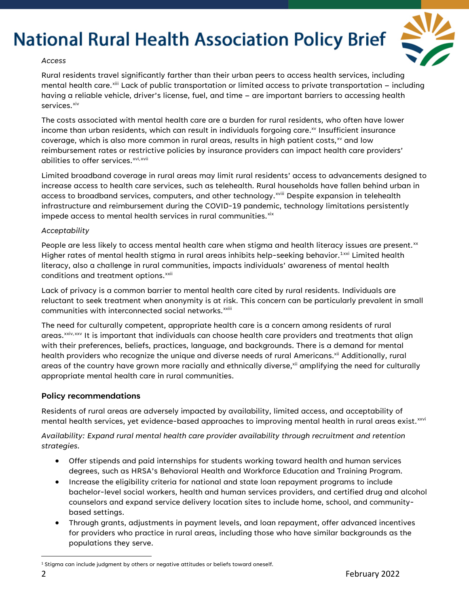

#### *Access*

Rural residents travel significantly farther than their urban peers to access health services, including mental health care.<sup>[xiii](#page-3-12)</sup> Lack of public transportation or limited access to private transportation – including having a reliable vehicle, driver's license, fuel, and time – are important barriers to accessing health services.<sup>[xiv](#page-3-13)</sup>

The costs associated with mental health care are a burden for rural residents, who often have lower income than urban residents, which can result in individuals forgoing care. $^{x}$  Insufficient insurance coverage, which is also more common in rural areas, results in high patient costs, $x<sup>x</sup>$  and low reimbursement rates or restrictive policies by insurance providers can impact health care providers' abilities to offer services.<sup>[xvi](#page-3-15), [xvii](#page-3-16)</sup>

Limited broadband coverage in rural areas may limit rural residents' access to advancements designed to increase access to health care services, such as telehealth. Rural households have fallen behind urban in access to broadband serv[i](#page-3-17)ces, computers, and other technology.<sup>xviii</sup> Despite expansion in telehealth infrastructure and reimbursement during the COVID-19 pandemic, technology limitations persistently impede access to mental health services in rural communities.<sup>[xix](#page-3-18)</sup>

#### *Acceptability*

People are less likely to access mental health care when stigma and health literacy issues are present.<sup>[xx](#page-3-19)</sup> Higher rates of mental health stigma in rural areas inhibits help-seeking behavior.<sup>1[xxi](#page-3-20)</sup> Limited health literacy, also a challenge in rural communities, impacts individuals' awareness of mental health conditions and treatment options.<sup>[xxii](#page-3-21)</sup>

Lack of privacy is a common barrier to mental health care cited by rural residents. Individuals are reluctant to seek treatment when anonymity is at risk. This concern can be particularly prevalent in small communities with interconnected social networks.<sup>xxiii</sup>

The need for culturally competent, appropriate health care is a concern among residents of rural areas.<sup>[xxiv](#page-3-22),[xxv](#page-3-23)</sup> It is important that individuals can choose health care providers and treatments that align with their preferences, beliefs, practices, language, and backgrounds. There is a demand for mental health providers who recognize the unique and diverse needs of rural Americans.<sup>xii</sup> Additionally, rural areas of the country have grown more racially and ethnically diverse, xii amplifying the need for culturally appropriate mental health care in rural communities.

#### **Policy recommendations**

Residents of rural areas are adversely impacted by availability, limited access, and acceptability of mental health services, yet evidence-based approaches to improving mental health in rural areas exist.<sup>[xxvi](#page-3-24)</sup>

*Availability: Expand rural mental health care provider availability through recruitment and retention strategies.*

- Offer stipends and paid internships for students working toward health and human services degrees, such as HRSA's Behavioral Health and Workforce Education and Training Program.
- Increase the eligibility criteria for national and state loan repayment programs to include bachelor-level social workers, health and human services providers, and certified drug and alcohol counselors and expand service delivery location sites to include home, school, and communitybased settings.
- Through grants, adjustments in payment levels, and loan repayment, offer advanced incentives for providers who practice in rural areas, including those who have similar backgrounds as the populations they serve.

<span id="page-1-0"></span><sup>&</sup>lt;sup>1</sup> Stigma can include judgment by others or negative attitudes or beliefs toward oneself.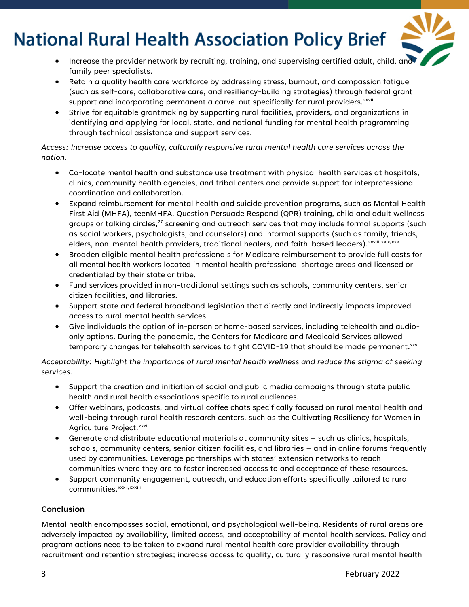- 
- Increase the provider network by recruiting, training, and supervising certified adult, child, and family peer specialists.
- Retain a quality health care workforce by addressing stress, burnout, and compassion fatigue (such as self-care, collaborative care, and resiliency-building strategies) through federal grant support and incorporating permanent a carve-out specifically for rural providers. $^{\rm xxvii}$
- Strive for equitable grantmaking by supporting rural facilities, providers, and organizations in identifying and applying for local, state, and national funding for mental health programming through technical assistance and support services.

*Access: Increase access to quality, culturally responsive rural mental health care services across the nation.*

- Co-locate mental health and substance use treatment with physical health services at hospitals, clinics, community health agencies, and tribal centers and provide support for interprofessional coordination and collaboration.
- Expand reimbursement for mental health and suicide prevention programs, such as Mental Health First Aid (MHFA), teenMHFA, Question Persuade Respond (QPR) training, child and adult wellness groups or talking circles, $^{27}$  screening and outreach services that may include formal supports (such as social workers, psychologists, and counselors) and informal supports (such as family, friends, elders[,](#page-3-25) non-mental health providers, traditional healers, and faith-based leaders). $^{\rm xxviii, xxix,xxx}$  $^{\rm xxviii, xxix,xxx}$  $^{\rm xxviii, xxix,xxx}$  $^{\rm xxviii, xxix,xxx}$  $^{\rm xxviii, xxix,xxx}$
- Broaden eligible mental health professionals for Medicare reimbursement to provide full costs for all mental health workers located in mental health professional shortage areas and licensed or credentialed by their state or tribe.
- Fund services provided in non-traditional settings such as schools, community centers, senior citizen facilities, and libraries.
- Support state and federal broadband legislation that directly and indirectly impacts improved access to rural mental health services.
- Give individuals the option of in-person or home-based services, including telehealth and audioonly options. During the pandemic, the Centers for Medicare and Medicaid Services allowed temporary changes for telehealth services to fight COVID-19 that should be made permanent.<sup>xxv</sup>

*Acceptability: Highlight the importance of rural mental health wellness and reduce the stigma of seeking services.*

- Support the creation and initiation of social and public media campaigns through state public health and rural health associations specific to rural audiences.
- Offer webinars, podcasts, and virtual coffee chats specifically focused on rural mental health and well-being through rural health research centers, such as the Cultivating Resiliency for Women in Agriculture Project.<sup>[xxxi](#page-3-28)</sup>
- Generate and distribute educational materials at community sites such as clinics, hospitals, schools, community centers, senior citizen facilities, and libraries – and in online forums frequently used by communities. Leverage partnerships with states' extension networks to reach communities where they are to foster increased access to and acceptance of these resources.
- Support community engagement, outreach, and education efforts specifically tailored to rural communities.<sup>xxxii[,](#page-3-29)xxx[i](#page-3-30)ii</sup>

#### **Conclusion**

Mental health encompasses social, emotional, and psychological well-being. Residents of rural areas are adversely impacted by availability, limited access, and acceptability of mental health services. Policy and program actions need to be taken to expand rural mental health care provider availability through recruitment and retention strategies; increase access to quality, culturally responsive rural mental health